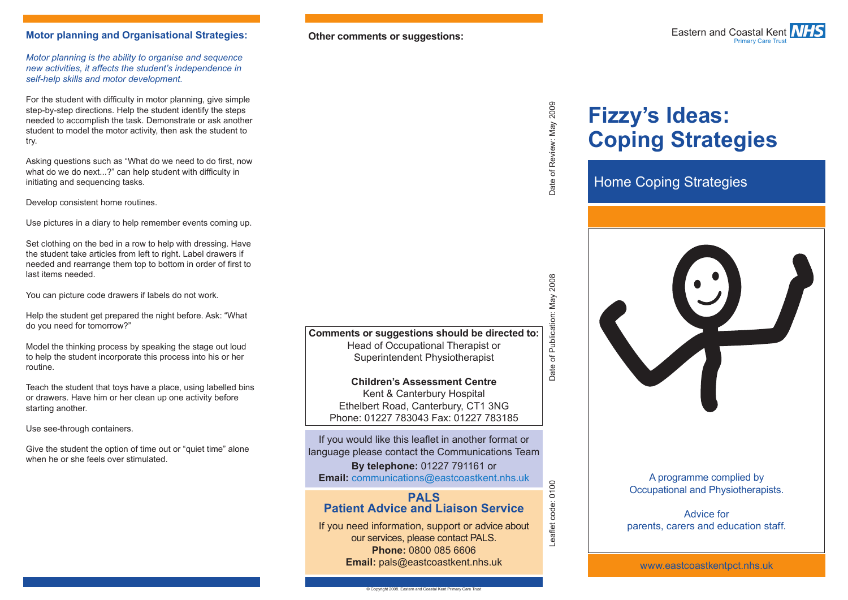### **Motor planning and Organisational Strategies: Other comments or suggestions:**

*Motor planning is the ability to organise and sequence new activities, it affects the student's independence in self-help skills and motor development.*

For the student with difficulty in motor planning, give simple step-by-step directions. Help the student identify the steps needed to accomplish the task. Demonstrate or ask another student to model the motor activity, then ask the student to try.

Asking questions such as "What do we need to do first, now what do we do next...?" can help student with difficulty in initiating and sequencing tasks.

Develop consistent home routines.

Use pictures in a diary to help remember events coming up.

Set clothing on the bed in a row to help with dressing. Have the student take articles from left to right. Label drawers if needed and rearrange them top to bottom in order of first to last items needed.

You can picture code drawers if labels do not work.

Help the student get prepared the night before. Ask: "What do you need for tomorrow?"

Model the thinking process by speaking the stage out loud to help the student incorporate this process into his or her routine.

Teach the student that toys have a place, using labelled bins or drawers. Have him or her clean up one activity before starting another.

Use see-through containers.

Give the student the option of time out or "quiet time" alone when he or she feels over stimulated.



# Date of Review: May 2009

# **Fizzy's Ideas: Coping Strategies**

## Home Coping Strategies

**Comments or suggestions should be directed to:** Head of Occupational Therapist or Superintendent Physiotherapist

**Children's Assessment Centre** Kent & Canterbury Hospital Ethelbert Road, Canterbury, CT1 3NG Phone: 01227 783043 Fax: 01227 783185

If you would like this leaflet in another format or language please contact the Communications Team

**By telephone:** 01227 791161 or **Email:** communications@eastcoastkent.nhs.uk

### **PALS Patient Advice and Liaison Service**

If you need information, support or advice about our services, please contact PALS. **Phone:** 0800 085 6606 **Email:** pals@eastcoastkent.nhs.uk

Leaflet code: 0100 Date of Review: May 2009 Date of Publication: May 2008 Date of Publication: May 2008

-eaflet code: 0100

### A programme complied by Occupational and Physiotherapists.

Advice for parents, carers and education staff.

www.eastcoastkentpct.nhs.uk